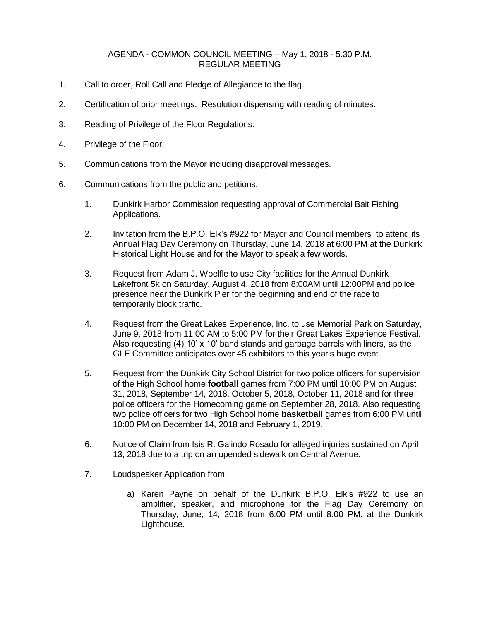## AGENDA - COMMON COUNCIL MEETING – May 1, 2018 - 5:30 P.M. REGULAR MEETING

- 1. Call to order, Roll Call and Pledge of Allegiance to the flag.
- 2. Certification of prior meetings. Resolution dispensing with reading of minutes.
- 3. Reading of Privilege of the Floor Regulations.
- 4. Privilege of the Floor:
- 5. Communications from the Mayor including disapproval messages.
- 6. Communications from the public and petitions:
	- 1. Dunkirk Harbor Commission requesting approval of Commercial Bait Fishing Applications.
	- 2. Invitation from the B.P.O. Elk's #922 for Mayor and Council members to attend its Annual Flag Day Ceremony on Thursday, June 14, 2018 at 6:00 PM at the Dunkirk Historical Light House and for the Mayor to speak a few words.
	- 3. Request from Adam J. Woelfle to use City facilities for the Annual Dunkirk Lakefront 5k on Saturday, August 4, 2018 from 8:00AM until 12:00PM and police presence near the Dunkirk Pier for the beginning and end of the race to temporarily block traffic.
	- 4. Request from the Great Lakes Experience, Inc. to use Memorial Park on Saturday, June 9, 2018 from 11:00 AM to 5:00 PM for their Great Lakes Experience Festival. Also requesting (4) 10'  $\times$  10' band stands and garbage barrels with liners, as the GLE Committee anticipates over 45 exhibitors to this year's huge event.
	- 5. Request from the Dunkirk City School District for two police officers for supervision of the High School home **football** games from 7:00 PM until 10:00 PM on August 31, 2018, September 14, 2018, October 5, 2018, October 11, 2018 and for three police officers for the Homecoming game on September 28, 2018. Also requesting two police officers for two High School home **basketball** games from 6:00 PM until 10:00 PM on December 14, 2018 and February 1, 2019.
	- 6. Notice of Claim from Isis R. Galindo Rosado for alleged injuries sustained on April 13, 2018 due to a trip on an upended sidewalk on Central Avenue.
	- 7. Loudspeaker Application from:
		- a) Karen Payne on behalf of the Dunkirk B.P.O. Elk's #922 to use an amplifier, speaker, and microphone for the Flag Day Ceremony on Thursday, June, 14, 2018 from 6:00 PM until 8:00 PM. at the Dunkirk Lighthouse.